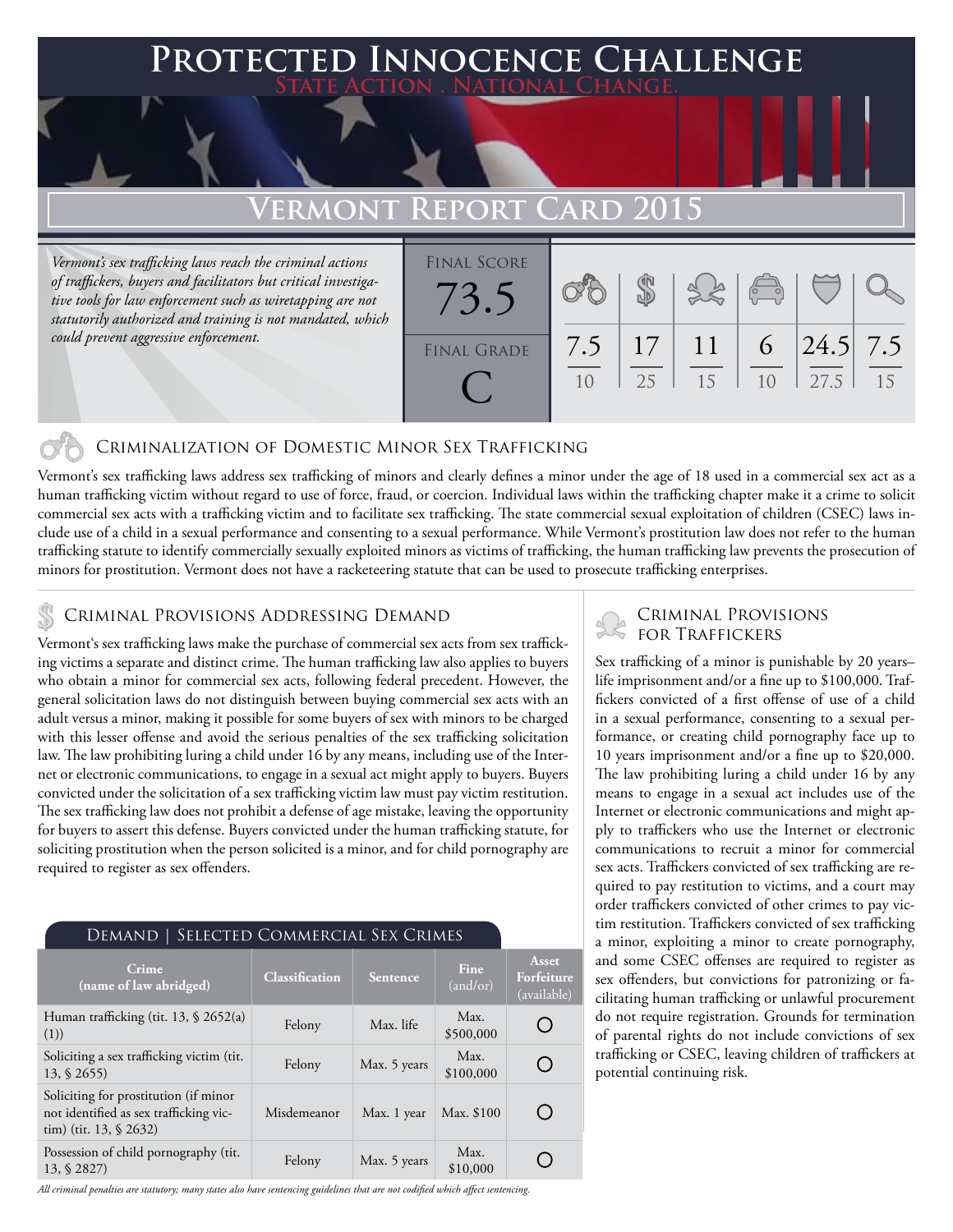## **FED INNOCENCE CHALLENGE State Action . National Change.**

# **Vermont Report Card 2015**

*Vermont's sex trafficking laws reach the criminal actions of traffickers, buyers and facilitators but critical investigative tools for law enforcement such as wiretapping are not statutorily authorized and training is not mandated, which could prevent aggressive enforcement.*

| <b>FINAL SCORE</b> |     |    |    |                |            |    |
|--------------------|-----|----|----|----------------|------------|----|
|                    |     |    |    | $\sqrt{2}$     |            |    |
|                    |     |    |    |                |            |    |
|                    |     |    |    |                |            |    |
| <b>FINAL GRADE</b> | 7.5 | 17 | 11 | $\Omega$       | $24.5$ 7.5 |    |
|                    | 10  | 25 | 15 | 1 <sub>0</sub> | 27.5       | 15 |
|                    |     |    |    |                |            |    |
|                    |     |    |    |                |            |    |

### Criminalization of Domestic Minor Sex Trafficking

Vermont's sex trafficking laws address sex trafficking of minors and clearly defines a minor under the age of 18 used in a commercial sex act as a human trafficking victim without regard to use of force, fraud, or coercion. Individual laws within the trafficking chapter make it a crime to solicit commercial sex acts with a trafficking victim and to facilitate sex trafficking. The state commercial sexual exploitation of children (CSEC) laws include use of a child in a sexual performance and consenting to a sexual performance. While Vermont's prostitution law does not refer to the human trafficking statute to identify commercially sexually exploited minors as victims of trafficking, the human trafficking law prevents the prosecution of minors for prostitution. Vermont does not have a racketeering statute that can be used to prosecute trafficking enterprises.

# CRIMINAL PROVISIONS ADDRESSING DEMAND<br>Vermontissen trafficking laws make the nurshese of commercial sex sets from sex traffick.

Vermont's sex trafficking laws make the purchase of commercial sex acts from sex trafficking victims a separate and distinct crime. The human trafficking law also applies to buyers who obtain a minor for commercial sex acts, following federal precedent. However, the general solicitation laws do not distinguish between buying commercial sex acts with an adult versus a minor, making it possible for some buyers of sex with minors to be charged with this lesser offense and avoid the serious penalties of the sex trafficking solicitation law. The law prohibiting luring a child under 16 by any means, including use of the Internet or electronic communications, to engage in a sexual act might apply to buyers. Buyers convicted under the solicitation of a sex trafficking victim law must pay victim restitution. The sex trafficking law does not prohibit a defense of age mistake, leaving the opportunity for buyers to assert this defense. Buyers convicted under the human trafficking statute, for soliciting prostitution when the person solicited is a minor, and for child pornography are required to register as sex offenders.

| SELECTED COMMERCIAL SEX CRIMES<br>DEMAND                                                                     |                       |                 |                         |                                    |  |  |  |  |
|--------------------------------------------------------------------------------------------------------------|-----------------------|-----------------|-------------------------|------------------------------------|--|--|--|--|
| Crime<br>(name of law abridged)                                                                              | <b>Classification</b> | <b>Sentence</b> | <b>Fine</b><br>(and/or) | Asset<br>Forfeiture<br>(available) |  |  |  |  |
| Human trafficking (tit. 13, $\frac{6}{2652(a)}$<br>(1))                                                      | Felony                | Max. life       | Max.<br>\$500,000       |                                    |  |  |  |  |
| Soliciting a sex trafficking victim (tit.<br>$13, \, \S\,2655$                                               | Felony                | Max. 5 years    | Max.<br>\$100,000       |                                    |  |  |  |  |
| Soliciting for prostitution (if minor<br>not identified as sex trafficking vic-<br>tim) (tit. $13, \S$ 2632) | Misdemeanor           | Max. 1 year     | Max. \$100              |                                    |  |  |  |  |
| Possession of child pornography (tit.<br>13, § 2827)                                                         | Felony                | Max. 5 years    | Max.<br>\$10,000        |                                    |  |  |  |  |

#### *All criminal penalties are statutory; many states also have sentencing guidelines that are not codified which affect sentencing.*

Sex trafficking of a minor is punishable by 20 years– life imprisonment and/or a fine up to \$100,000. Traffickers convicted of a first offense of use of a child in a sexual performance, consenting to a sexual performance, or creating child pornography face up to 10 years imprisonment and/or a fine up to \$20,000. The law prohibiting luring a child under 16 by any means to engage in a sexual act includes use of the Internet or electronic communications and might apply to traffickers who use the Internet or electronic communications to recruit a minor for commercial sex acts. Traffickers convicted of sex trafficking are required to pay restitution to victims, and a court may order traffickers convicted of other crimes to pay victim restitution. Traffickers convicted of sex trafficking a minor, exploiting a minor to create pornography, and some CSEC offenses are required to register as sex offenders, but convictions for patronizing or facilitating human trafficking or unlawful procurement do not require registration. Grounds for termination of parental rights do not include convictions of sex trafficking or CSEC, leaving children of traffickers at potential continuing risk.